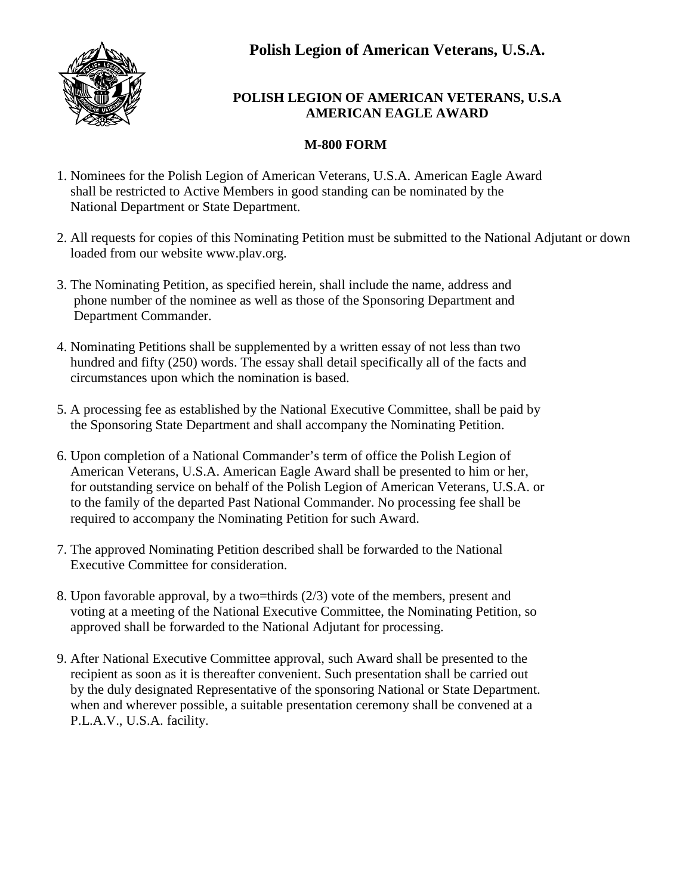

# **POLISH LEGION OF AMERICAN VETERANS, U.S.A AMERICAN EAGLE AWARD**

# **M-800 FORM**

- 1. Nominees for the Polish Legion of American Veterans, U.S.A. American Eagle Award shall be restricted to Active Members in good standing can be nominated by the National Department or State Department.
- 2. All requests for copies of this Nominating Petition must be submitted to the National Adjutant or down loaded from our website www.plav.org.
- 3. The Nominating Petition, as specified herein, shall include the name, address and phone number of the nominee as well as those of the Sponsoring Department and Department Commander.
- 4. Nominating Petitions shall be supplemented by a written essay of not less than two hundred and fifty (250) words. The essay shall detail specifically all of the facts and circumstances upon which the nomination is based.
- 5. A processing fee as established by the National Executive Committee, shall be paid by the Sponsoring State Department and shall accompany the Nominating Petition.
- 6. Upon completion of a National Commander's term of office the Polish Legion of American Veterans, U.S.A. American Eagle Award shall be presented to him or her, for outstanding service on behalf of the Polish Legion of American Veterans, U.S.A. or to the family of the departed Past National Commander. No processing fee shall be required to accompany the Nominating Petition for such Award.
- 7. The approved Nominating Petition described shall be forwarded to the National Executive Committee for consideration.
- 8. Upon favorable approval, by a two=thirds (2/3) vote of the members, present and voting at a meeting of the National Executive Committee, the Nominating Petition, so approved shall be forwarded to the National Adjutant for processing.
- 9. After National Executive Committee approval, such Award shall be presented to the recipient as soon as it is thereafter convenient. Such presentation shall be carried out by the duly designated Representative of the sponsoring National or State Department. when and wherever possible, a suitable presentation ceremony shall be convened at a P.L.A.V., U.S.A. facility.